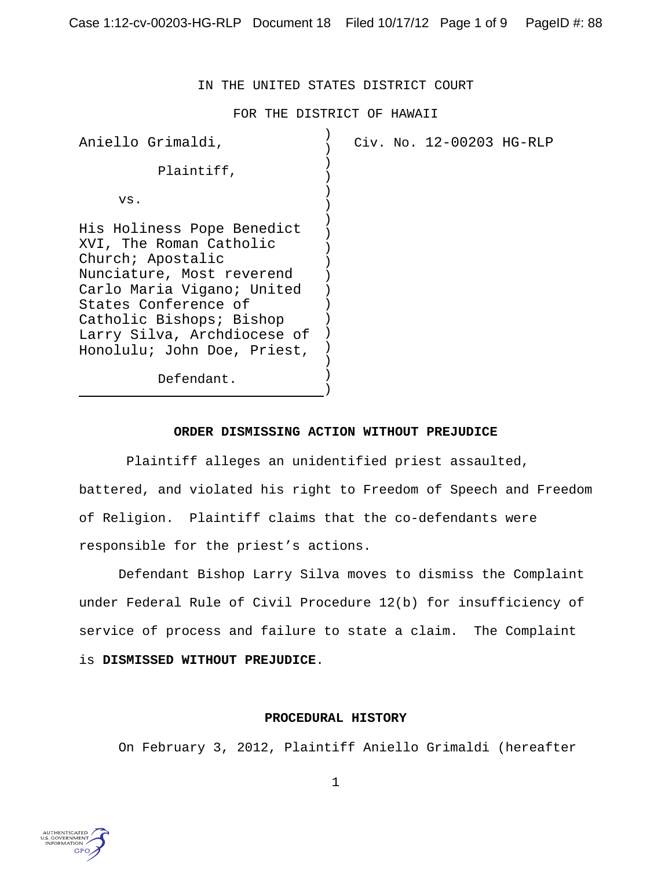IN THE UNITED STATES DISTRICT COURT

FOR THE DISTRICT OF HAWAII

| Aniello Grimaldi,                                                                                                                                                                                                                                       | Civ. No. 12-00203 HG-RLP |
|---------------------------------------------------------------------------------------------------------------------------------------------------------------------------------------------------------------------------------------------------------|--------------------------|
| Plaintiff,                                                                                                                                                                                                                                              |                          |
| VS.                                                                                                                                                                                                                                                     |                          |
| His Holiness Pope Benedict<br>XVI, The Roman Catholic<br>Church; Apostalic<br>Nunciature, Most reverend<br>Carlo Maria Vigano; United<br>States Conference of<br>Catholic Bishops; Bishop<br>Larry Silva, Archdiocese of<br>Honolulu; John Doe, Priest, |                          |
| Defendant.                                                                                                                                                                                                                                              |                          |

## **ORDER DISMISSING ACTION WITHOUT PREJUDICE**

 Plaintiff alleges an unidentified priest assaulted, battered, and violated his right to Freedom of Speech and Freedom of Religion. Plaintiff claims that the co-defendants were responsible for the priest's actions.

Defendant Bishop Larry Silva moves to dismiss the Complaint under Federal Rule of Civil Procedure 12(b) for insufficiency of service of process and failure to state a claim. The Complaint is **DISMISSED WITHOUT PREJUDICE**.

# **PROCEDURAL HISTORY**

On February 3, 2012, Plaintiff Aniello Grimaldi (hereafter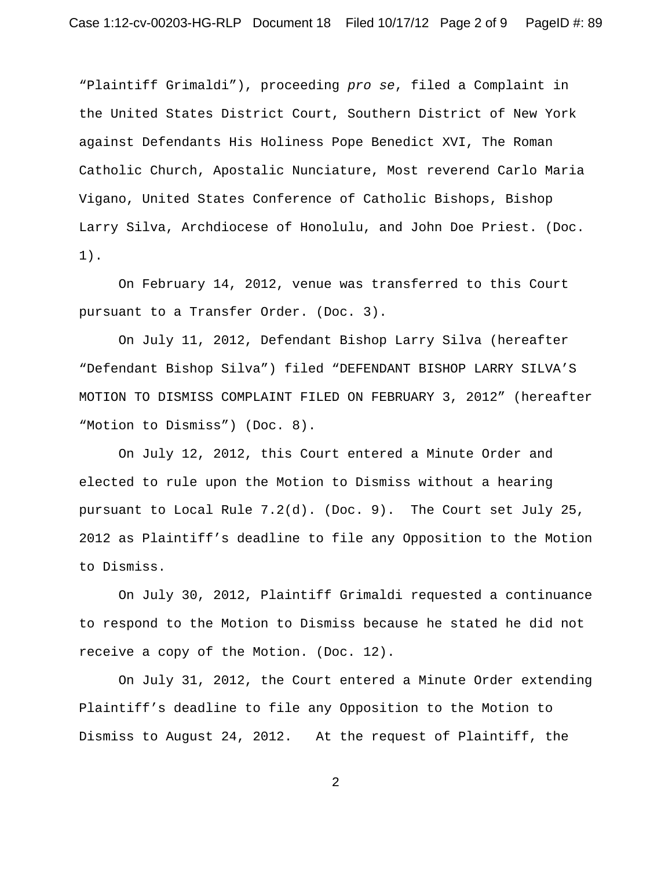"Plaintiff Grimaldi"), proceeding *pro se*, filed a Complaint in the United States District Court, Southern District of New York against Defendants His Holiness Pope Benedict XVI, The Roman Catholic Church, Apostalic Nunciature, Most reverend Carlo Maria Vigano, United States Conference of Catholic Bishops, Bishop Larry Silva, Archdiocese of Honolulu, and John Doe Priest. (Doc. 1).

On February 14, 2012, venue was transferred to this Court pursuant to a Transfer Order. (Doc. 3).

On July 11, 2012, Defendant Bishop Larry Silva (hereafter "Defendant Bishop Silva") filed "DEFENDANT BISHOP LARRY SILVA'S MOTION TO DISMISS COMPLAINT FILED ON FEBRUARY 3, 2012" (hereafter "Motion to Dismiss") (Doc. 8).

On July 12, 2012, this Court entered a Minute Order and elected to rule upon the Motion to Dismiss without a hearing pursuant to Local Rule 7.2(d). (Doc. 9). The Court set July 25, 2012 as Plaintiff's deadline to file any Opposition to the Motion to Dismiss.

On July 30, 2012, Plaintiff Grimaldi requested a continuance to respond to the Motion to Dismiss because he stated he did not receive a copy of the Motion. (Doc. 12).

On July 31, 2012, the Court entered a Minute Order extending Plaintiff's deadline to file any Opposition to the Motion to Dismiss to August 24, 2012. At the request of Plaintiff, the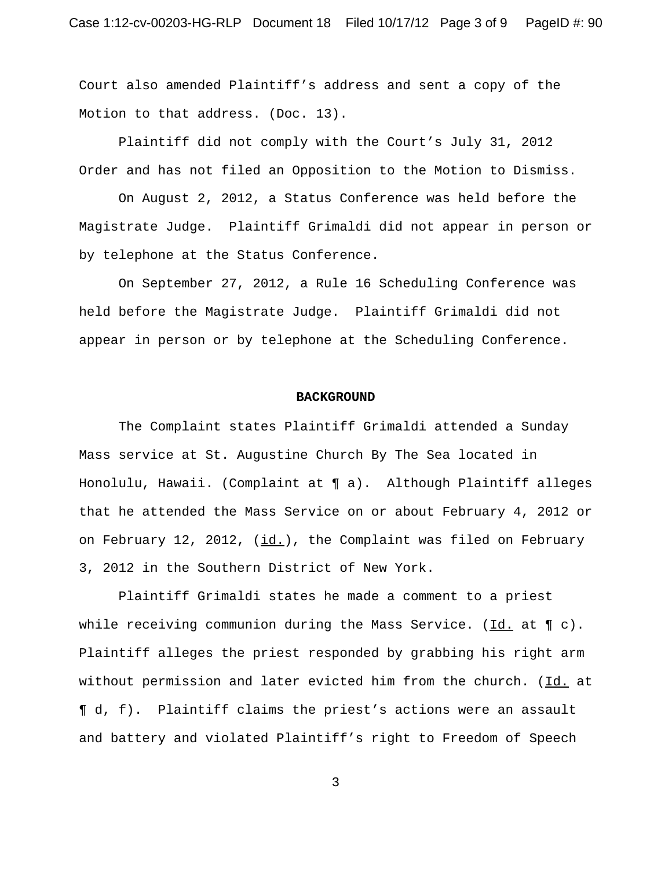Court also amended Plaintiff's address and sent a copy of the Motion to that address. (Doc. 13).

Plaintiff did not comply with the Court's July 31, 2012 Order and has not filed an Opposition to the Motion to Dismiss.

On August 2, 2012, a Status Conference was held before the Magistrate Judge. Plaintiff Grimaldi did not appear in person or by telephone at the Status Conference.

On September 27, 2012, a Rule 16 Scheduling Conference was held before the Magistrate Judge. Plaintiff Grimaldi did not appear in person or by telephone at the Scheduling Conference.

### **BACKGROUND**

The Complaint states Plaintiff Grimaldi attended a Sunday Mass service at St. Augustine Church By The Sea located in Honolulu, Hawaii. (Complaint at ¶ a). Although Plaintiff alleges that he attended the Mass Service on or about February 4, 2012 or on February 12, 2012,  $(id.)$ , the Complaint was filed on February 3, 2012 in the Southern District of New York.

Plaintiff Grimaldi states he made a comment to a priest while receiving communion during the Mass Service. (Id. at  $\P$  c). Plaintiff alleges the priest responded by grabbing his right arm without permission and later evicted him from the church. (Id. at ¶ d, f). Plaintiff claims the priest's actions were an assault and battery and violated Plaintiff's right to Freedom of Speech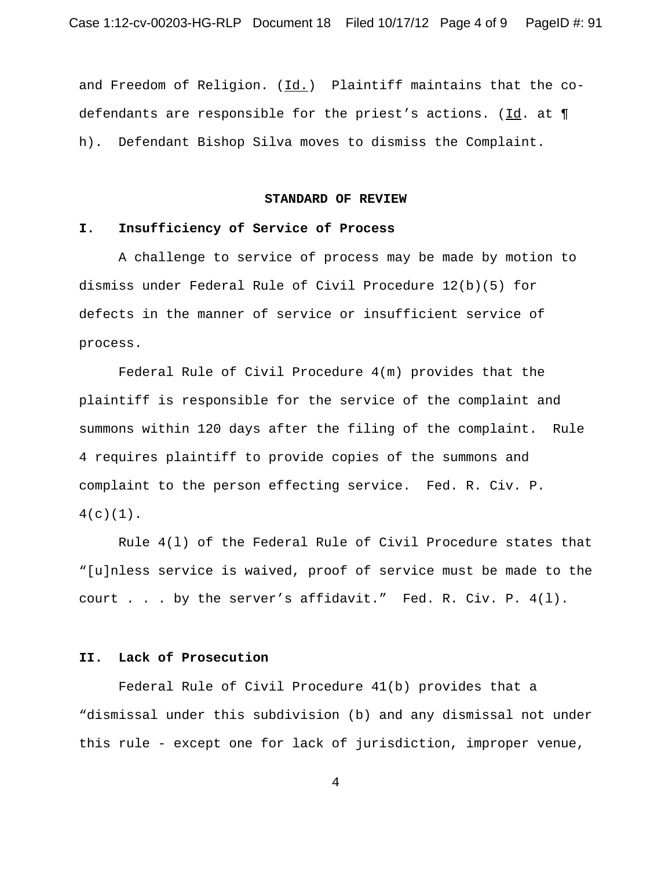and Freedom of Religion. (Id.) Plaintiff maintains that the codefendants are responsible for the priest's actions. (Id. at  $\P$ h). Defendant Bishop Silva moves to dismiss the Complaint.

## **STANDARD OF REVIEW**

## **I. Insufficiency of Service of Process**

A challenge to service of process may be made by motion to dismiss under Federal Rule of Civil Procedure 12(b)(5) for defects in the manner of service or insufficient service of process.

Federal Rule of Civil Procedure 4(m) provides that the plaintiff is responsible for the service of the complaint and summons within 120 days after the filing of the complaint. Rule 4 requires plaintiff to provide copies of the summons and complaint to the person effecting service. Fed. R. Civ. P.  $4(c)(1)$ .

Rule 4(l) of the Federal Rule of Civil Procedure states that "[u]nless service is waived, proof of service must be made to the court . . . by the server's affidavit." Fed. R. Civ. P. 4(l).

# **II. Lack of Prosecution**

Federal Rule of Civil Procedure 41(b) provides that a "dismissal under this subdivision (b) and any dismissal not under this rule - except one for lack of jurisdiction, improper venue,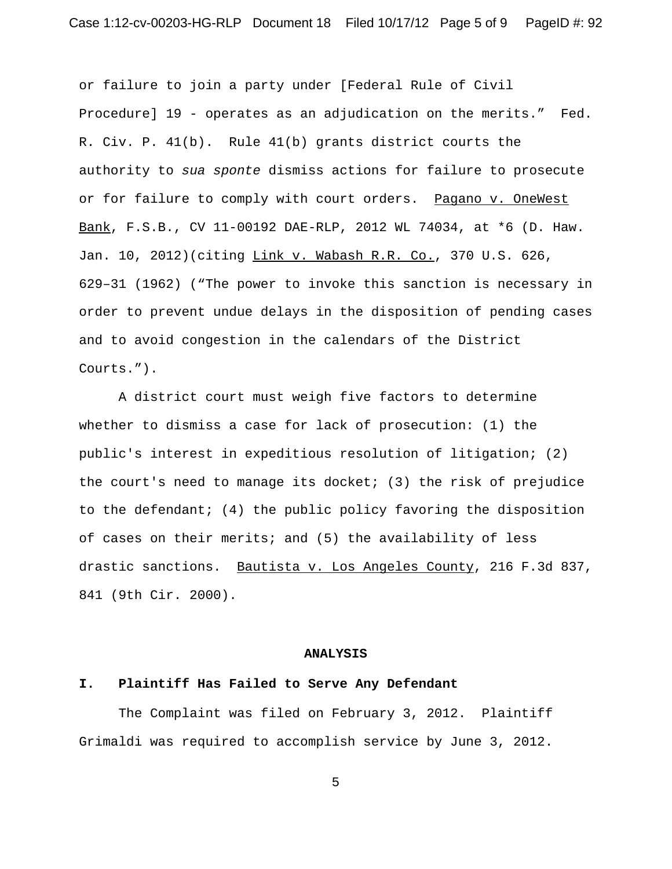or failure to join a party under [Federal Rule of Civil Procedure] 19 - operates as an adjudication on the merits." Fed. R. Civ. P. 41(b). Rule 41(b) grants district courts the authority to *sua sponte* dismiss actions for failure to prosecute or for failure to comply with court orders. Pagano v. OneWest Bank, F.S.B., CV 11-00192 DAE-RLP, 2012 WL 74034, at \*6 (D. Haw. Jan. 10, 2012)(citing Link v. Wabash R.R. Co., 370 U.S. 626, 629–31 (1962) ("The power to invoke this sanction is necessary in order to prevent undue delays in the disposition of pending cases and to avoid congestion in the calendars of the District Courts.").

A district court must weigh five factors to determine whether to dismiss a case for lack of prosecution: (1) the public's interest in expeditious resolution of litigation; (2) the court's need to manage its docket; (3) the risk of prejudice to the defendant; (4) the public policy favoring the disposition of cases on their merits; and (5) the availability of less drastic sanctions. Bautista v. Los Angeles County, 216 F.3d 837, 841 (9th Cir. 2000).

#### **ANALYSIS**

### **I. Plaintiff Has Failed to Serve Any Defendant**

The Complaint was filed on February 3, 2012. Plaintiff Grimaldi was required to accomplish service by June 3, 2012.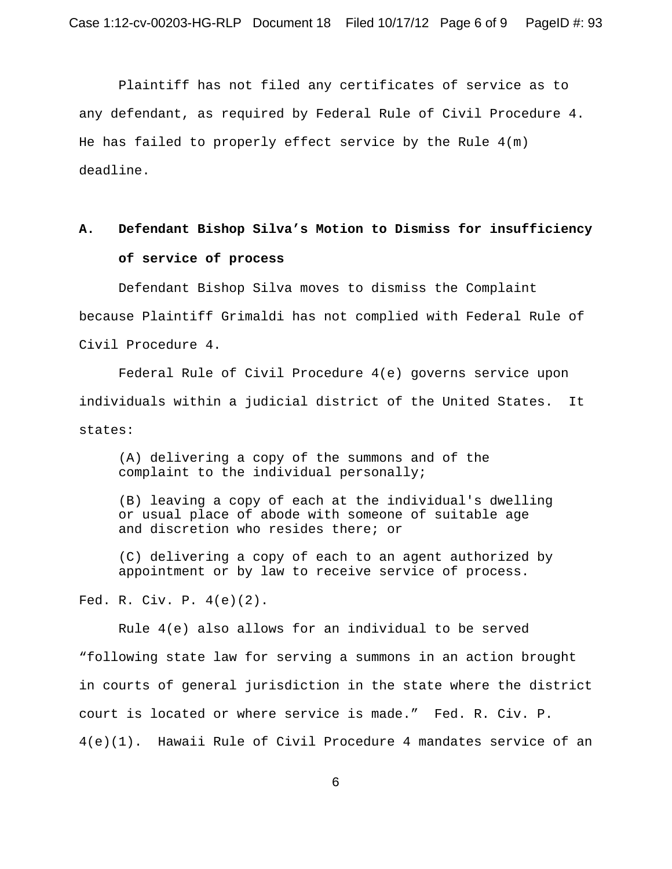Plaintiff has not filed any certificates of service as to any defendant, as required by Federal Rule of Civil Procedure 4. He has failed to properly effect service by the Rule  $4(m)$ deadline.

# **A. Defendant Bishop Silva's Motion to Dismiss for insufficiency of service of process**

Defendant Bishop Silva moves to dismiss the Complaint because Plaintiff Grimaldi has not complied with Federal Rule of Civil Procedure 4.

Federal Rule of Civil Procedure 4(e) governs service upon individuals within a judicial district of the United States. It states:

(A) delivering a copy of the summons and of the complaint to the individual personally;

(B) leaving a copy of each at the individual's dwelling or usual place of abode with someone of suitable age and discretion who resides there; or

(C) delivering a copy of each to an agent authorized by appointment or by law to receive service of process.

Fed. R. Civ. P. 4(e)(2).

Rule 4(e) also allows for an individual to be served "following state law for serving a summons in an action brought in courts of general jurisdiction in the state where the district court is located or where service is made." Fed. R. Civ. P. 4(e)(1). Hawaii Rule of Civil Procedure 4 mandates service of an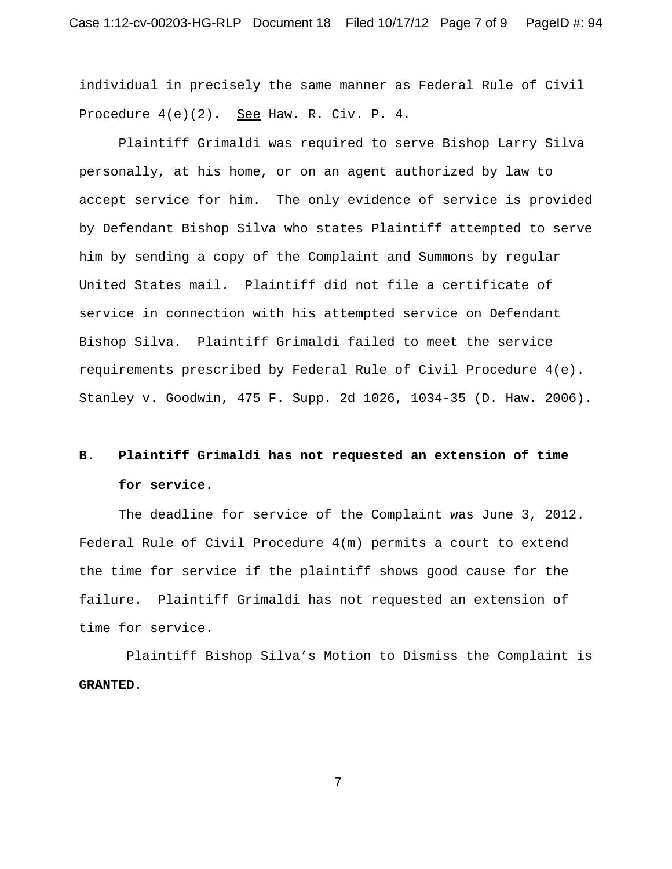individual in precisely the same manner as Federal Rule of Civil Procedure  $4(e)(2)$ . See Haw. R. Civ. P. 4.

Plaintiff Grimaldi was required to serve Bishop Larry Silva personally, at his home, or on an agent authorized by law to accept service for him. The only evidence of service is provided by Defendant Bishop Silva who states Plaintiff attempted to serve him by sending a copy of the Complaint and Summons by regular United States mail. Plaintiff did not file a certificate of service in connection with his attempted service on Defendant Bishop Silva. Plaintiff Grimaldi failed to meet the service requirements prescribed by Federal Rule of Civil Procedure 4(e). Stanley v. Goodwin, 475 F. Supp. 2d 1026, 1034-35 (D. Haw. 2006).

# **B. Plaintiff Grimaldi has not requested an extension of time for service.**

The deadline for service of the Complaint was June 3, 2012. Federal Rule of Civil Procedure 4(m) permits a court to extend the time for service if the plaintiff shows good cause for the failure. Plaintiff Grimaldi has not requested an extension of time for service.

 Plaintiff Bishop Silva's Motion to Dismiss the Complaint is **GRANTED**.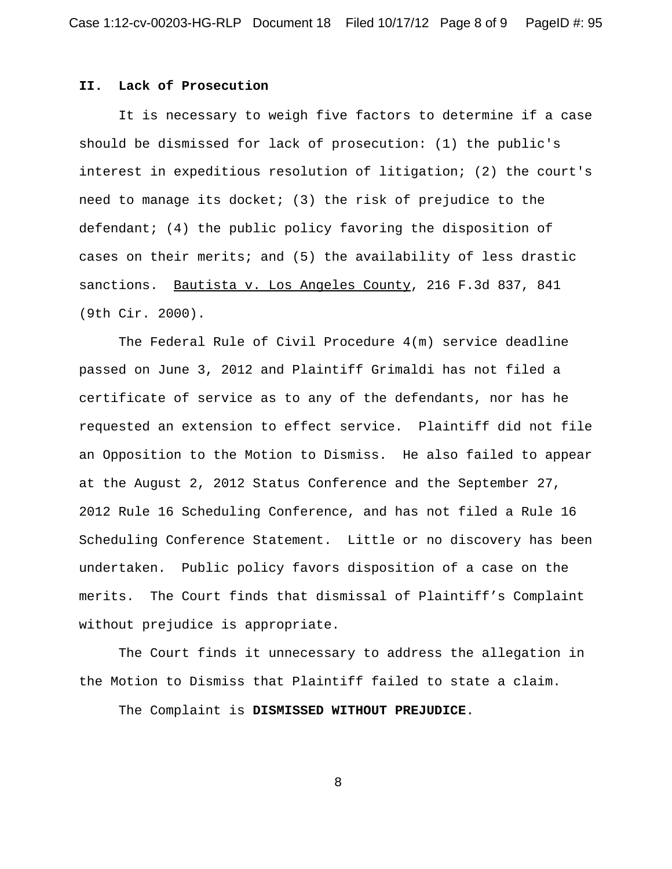## **II. Lack of Prosecution**

It is necessary to weigh five factors to determine if a case should be dismissed for lack of prosecution: (1) the public's interest in expeditious resolution of litigation; (2) the court's need to manage its docket; (3) the risk of prejudice to the defendant; (4) the public policy favoring the disposition of cases on their merits; and (5) the availability of less drastic sanctions. Bautista v. Los Angeles County, 216 F.3d 837, 841 (9th Cir. 2000).

The Federal Rule of Civil Procedure 4(m) service deadline passed on June 3, 2012 and Plaintiff Grimaldi has not filed a certificate of service as to any of the defendants, nor has he requested an extension to effect service. Plaintiff did not file an Opposition to the Motion to Dismiss. He also failed to appear at the August 2, 2012 Status Conference and the September 27, 2012 Rule 16 Scheduling Conference, and has not filed a Rule 16 Scheduling Conference Statement. Little or no discovery has been undertaken. Public policy favors disposition of a case on the merits. The Court finds that dismissal of Plaintiff's Complaint without prejudice is appropriate.

The Court finds it unnecessary to address the allegation in the Motion to Dismiss that Plaintiff failed to state a claim.

The Complaint is **DISMISSED WITHOUT PREJUDICE**.